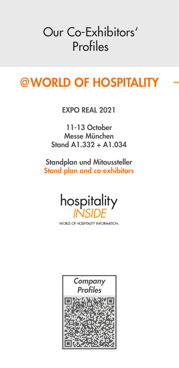# Our Co-Exhibitors' Profiles

# @WORLD OF HOSPITALITY

**EXPO REAL 2021** 

11-13 October Messe München Stand A1.332 + A1.034

Standplan und Mitaussteller Stand plan and co-exhibitors



WORLD OF HOSPITALITY INFORMATION.

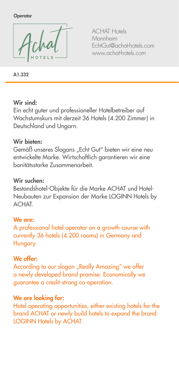**Operator** 



ACHAT Hotels Mannheim EchtGut@achat-hotels.com www.achat-hotels.com

A1.332

#### Wir sind:

Ein echt guter und professioneller Hotelbetreiber auf Wachstumskurs mit derzeit 36 Hotels (4.200 Zimmer) in Deutschland und Ungarn.

# Wir bieten:

Gemäß unseres Slogans "Echt Gut" bieten wir eine neu entwickelte Marke. Wirtschaftlich garantieren wir eine bonitätsstarke Zusammenarbeit.

#### Wir suchen:

Bestandshotel-Objekte für die Marke ACHAT und Hotel-Neubauten zur Expansion der Marke LOGINN Hotels by  $ACHAT$ 

# We are:

A professional hotel operator on a growth course with currently 36 hotels (4.200 rooms) in Germany and Hungary.

# We offer:

According to our slogan "Really Amazing" we offer a newly developed brand promise. Economically we guarantee a credit-strong co-operation.

# We are looking for:

Hotel operating opportunities, either existing hotels for the brand ACHAT or newly build hotels to expand the brand LOGINN Hotels by ACHAT.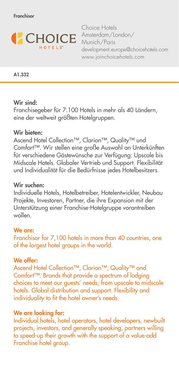

Choice Hotels Amsterdam/London/ Munich/Paris development.europe@choicehotels.com www.joinchoicehotels.com

A1.332

Wir sind:

Franchisegeber für 7.100 Hotels in mehr als 40 Ländern, eine der weltweit größten Hotelgruppen.

#### Wir bieten:

Ascend Hotel Collection<sup>™</sup>, Clarion<sup>™</sup>, Quality<sup>™</sup> und Comfort™. Wir stellen eine große Auswahl an Unterkünften für verschiedene Gästewünsche zur Verfügung: Upscale bis Midscale Hotels. Globaler Vertrieb und Support. Flexibilität und Individualität für die Bedürfnisse jedes Hotelbesitzers.

#### Wir suchen:

Individuelle Hotels, Hotelbetreiber, Hotelentwickler, Neubau Projekte, Investoren, Partner, die ihre Expansion mit der Unterstützung einer Franchise-Hotelgruppe vorantreiben wollen.

#### We are:

Franchisor for 7,100 hotels in more than 40 countries, one of the largest hotel groups in the world.

#### We offer:

Ascend Hotel Collection<sup>™</sup>, Clarion<sup>™</sup>, Quality<sup>™</sup> and Comfort™. Brands that provide a spectrum of lodging choices to meet our guests' needs; from upscale to midscale hotels. Global distribution and support. Flexibility and individuality to fit the hotel owner's needs.

# We are looking for:

Individual hotels, hotel operators, hotel developers, newbuilt projects, investors, and generally speaking, partners willing to speed-up their growth with the support of a value-add Franchise hotel group.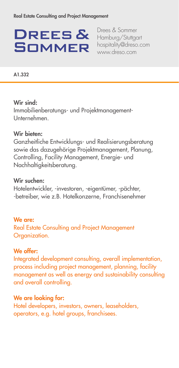# **DREES &** SOMMER

Drees & Sommer Hamburg/Stuttgart hospitality@dreso.com www.dreso.com

A1.332

#### Wir sind:

Immobilienberatungs- und Projektmanagement-Unternehmen.

#### Wir bieten:

Ganzheitliche Entwicklungs- und Realisierungsberatung sowie das dazugehörige Projektmanagement, Planung, Controlling, Facility Management, Energie- und Nachhaltigkeitsberatung.

#### Wir suchen:

Hotelentwickler, -investoren, -eigentümer, -pächter, -betreiber, wie z.B. Hotelkonzerne, Franchisenehmer

#### We are:

Real Estate Consulting and Project Management Organization.

#### We offer:

Integrated development consulting, overall implementation, process including project management, planning, facility management as well as energy and sustainability consulting and overall controlling.

# We are looking for:

Hotel developers, investors, owners, leaseholders, operators, e.g. hotel groups, franchisees.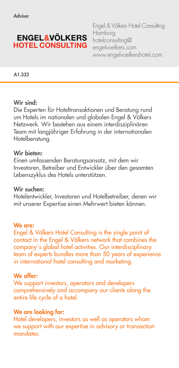# **ENGEL&VÖLKERS HOTEL CONSULTING**

Engel & Völkers Hotel Consulting Hamburg hotelconsulting@ engelvoelkers.com www.engelvoelkershotel.com

A1.332

#### Wir sind:

Die Experten für Hoteltransaktionen und Beratung rund um Hotels im nationalen und globalen Engel & Völkers Netzwerk. Wir bestehen aus einem interdisziplinären Team mit langjähriger Erfahrung in der internationalen Hotelberatung.

#### Wir bieten:

Einen umfassenden Beratungsansatz, mit dem wir Investoren, Betreiber und Entwickler über den gesamten Lebenszyklus des Hotels unterstützen.

#### Wir suchen:

Hotelentwickler, Investoren und Hotelbetreiber, denen wir mit unserer Expertise einen Mehrwert bieten können.

#### We are:

Engel & Völkers Hotel Consulting is the single point of contact in the Engel & Völkers network that combines the company´s global hotel activities. Our interdisciplinary team of experts bundles more than 50 years of experience in international hotel consulting and marketing.

#### We offer:

We support investors, operators and developers comprehensively and accompany our clients along the entire life cycle of a hotel.

#### We are looking for:

Hotel developers, investors as well as operators whom we support with our expertise in advisory or transaction mandates.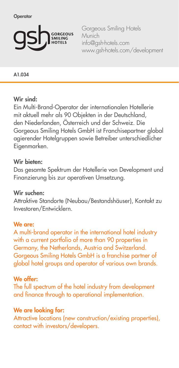**Operator** 



Gorgeous Smiling Hotels Munich info@gsh-hotels.com www.gsh-hotels.com/development

A1.034

#### Wir sind:

Ein Multi-Brand-Operator der internationalen Hotellerie mit aktuell mehr als 90 Objekten in der Deutschland, den Niederlanden, Österreich und der Schweiz. Die Gorgeous Smiling Hotels GmbH ist Franchisepartner global agierender Hotelgruppen sowie Betreiber unterschiedlicher Eigenmarken.

#### Wir bieten:

Das gesamte Spektrum der Hotellerie von Development und Finanzierung bis zur operativen Umsetzung.

#### Wir suchen:

Attraktive Standorte (Neubau/Bestandshäuser), Kontakt zu Investoren/Entwicklern.

#### We are:

A multi-brand operator in the international hotel industry with a current portfolio of more than 90 properties in Germany, the Netherlands, Austria and Switzerland. Gorgeous Smiling Hotels GmbH is a franchise partner of global hotel groups and operator of various own brands.

# We offer:

The full spectrum of the hotel industry from development and finance through to operational implementation.

# We are looking for:

Attractive locations (new construction/existing properties), contact with investors/developers.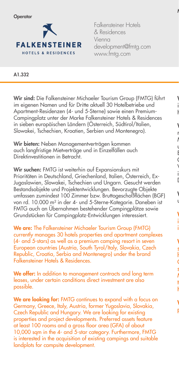

Falkensteiner Hotels & Residences Vienna development@fmtg.com www.fmtg.com

A1.332

Wir sind: Die Falkensteiner Michaeler Tourism Group (FMTG) führt im eigenen Namen und für Dritte aktuell 30 Hotelbetriebe und Apartment-Residenzen (4- und 5-Sterne) sowie einen Premium-Campingplatz unter der Marke Falkensteiner Hotels & Residences in sieben europäischen Ländern (Österreich, Südtirol/Italien, Slowakei, Tschechien, Kroatien, Serbien und Montenegro).

Wir bieten: Neben Managementverträgen kommen auch langfristige Mietverträge und in Einzelfällen auch Direktinvestitionen in Betracht.

Wir suchen: FMTG ist weiterhin auf Expansionskurs mit Prioritäten in Deutschland, Griechenland, Italien, Österreich, Ex-Jugoslawien, Slowakei, Tschechien und Ungarn. Gesucht werden Bestandsobjekte und Projektentwicklungen. Bevorzugte Objekte umfassen zumindest 100 Zimmer bzw. Bruttogeschoßflächen (BGF) von rd. 10.000 m² in der 4- und 5-Sterne-Kategorie. Daneben ist FMTG auch an Übernahmen bestehender Campingplätze sowie Grundstücken für Campingplatz-Entwicklungen interessiert.

We are: The Falkensteiner Michaeler Tourism Group (FMTG) currently manages 30 hotels properties and apartment complexes (4- and 5-stars) as well as a premium camping resort in seven European countries (Austria, South Tyrol/Italy, Slovakia, Czech Republic, Croatia, Serbia and Montenegro) under the brand Falkensteiner Hotels & Residences.

We offer: In addition to management contracts and long term leases, under certain conditions direct investment are also possible.

We are looking for: FMTG continues to expand with a focus on Germany, Greece, Italy, Austria, former Yugoslavia, Slovakia, Czech Republic and Hungary. We are looking for existing properties and project developments. Preferred assets feature at least 100 rooms and a gross floor area (GFA) of about 10,000 sqm in the 4- and 5-star category. Furthermore, FMTG is interested in the acquisition of existing campings and suitable landplots for campsite development.

 $\overline{\mathcal{E}}$ 

**p**<br>Partners and strategic event partners.

i<br>I  $\mathbf{r}$  $\overline{\mathcal{E}}$ r<sub>ed</sub>  $\mathcal I$ l<br>Hinter Englisch.  $\zeta$  $\overline{\phantom{a}}$ i<br>I  $\overline{a}$  $\overline{\mathcal{E}}$ l, **N**  $\mathbf{i}$  $\mathbf{i}$  $\overline{\phantom{a}}$ subscription-based online magazine with  $\mathbf{r}$  $\mathcal{L}_{\mathcal{L}_{\mathcal{L}}}$ stands and networking events at Expo Real  $\prime$ t<br>1 HR.  $\overline{\phantom{a}}$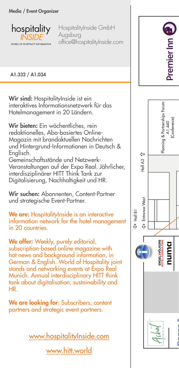

HospitalityInside GmbH Augsburg office@hospitalityInside.com

A1.332 / A1.034

Wir sind: HospitalityInside ist ein interaktives Informationsnetzwerk für das Hotelmanagement in 20 Ländern.

Wir bieten: Ein wöchentliches, rein redaktionelles, Abo-basiertes Online-Magazin mit brandaktuellen Nachrichten und Hintergrund-Informationen in Deutsch & Englisch.

Gemeinschaftsstände und Netzwerk-Veranstaltungen auf der Expo Real. Jährlicher, interdisziplinärer HITT Think Tank zur Digitalisierung, Nachhaltigkeit und HR.

Wir suchen: Abonnenten, Content-Partner und strategische Event-Partner.

We are: HospitalityInside is an interactive information network for the hotel management in 20 countries.

We offer: Weekly, purely editorial, subscription-based online magazine with hot news and background information, in German & English. World of Hospitality joint stands and networking events at Expo Real Munich. Annual interdisciplinary HITT think tank about digitalisation, sustainability and HR.

We are looking for: Subscribers, content partners and strategic event partners.

www.hospitalityInside.com

www.hitt.world

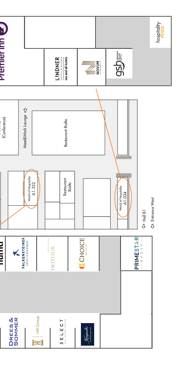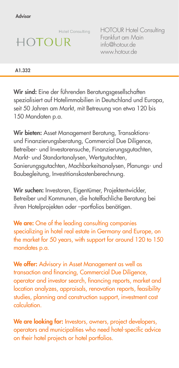Advisor

Hotel Consulting

**HOTOUR** 

HOTOUR Hotel Consulting Frankfurt am Main info@hotour.de www.hotour.de

A1.332

Wir sind: Eine der führenden Beratungsgesellschaften spezialisiert auf Hotelimmobilien in Deutschland und Europa, seit 50 Jahren am Markt, mit Betreuung von etwa 120 bis 150 Mandaten p.a.

Wir bieten: Asset Management Beratung, Transaktionsund Finanzierungsberatung, Commercial Due Diligence, Betreiber- und Investorensuche, Finanzierungsgutachten, Markt- und Standortanalysen, Wertgutachten, Sanierungsgutachten, Machbarkeitsanalysen, Planungs- und Baubegleitung, Investitionskostenberechnung.

Wir suchen: Investoren, Eigentümer, Projektentwickler, Betreiber und Kommunen, die hotelfachliche Beratung bei ihren Hotelprojekten oder –portfolios benötigen.

We are: One of the leading consulting companies specializing in hotel real estate in Germany and Europe, on the market for 50 years, with support for around 120 to 150 mandates p.a.

We offer: Advisory in Asset Management as well as transaction and financing, Commercial Due Diligence, operator and investor search, financing reports, market and location analyzes, appraisals, renovation reports, feasibility studies, planning and construction support, investment cost calculation.

We are looking for: Investors, owners, project developers, operators and municipalities who need hotel-specific advice on their hotel projects or hotel portfolios.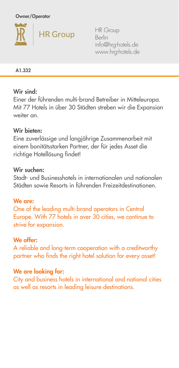



HR Group Berlin info@hrg-hotels.de www.hrg-hotels.de

A1.332

# Wir sind:

Einer der führenden multi-brand Betreiber in Mitteleuropa. Mit 77 Hotels in über 30 Städten streben wir die Expansion weiter an.

# Wir bieten:

Eine zuverlässige und langjährige Zusammenarbeit mit einem bonitätsstarken Partner, der für jedes Asset die richtige Hotellösung findet!

#### Wir suchen:

Stadt- und Businesshotels in internationalen und nationalen Städten sowie Resorts in führenden Freizeitdestinationen.

# We are:

One of the leading multi-brand operators in Central Europe. With 77 hotels in over 30 cities, we continue to strive for expansion.

# We offer:

A reliable and long-term cooperation with a creditworthy partner who finds the right hotel solution for every asset!

# We are looking for:

City and business hotels in international and national cities as well as resorts in leading leisure destinations.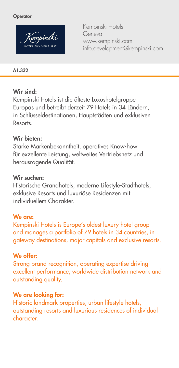#### **Operator**



Kempinski Hotels Geneva www.kempinski.com info.development@kempinski.com

A1.332

#### Wir sind:

Kempinski Hotels ist die älteste Luxushotelgruppe Europas und betreibt derzeit 79 Hotels in 34 Ländern, in Schlüsseldestinationen, Hauptstädten und exklusiven Resorts.

#### Wir bieten:

Starke Markenbekanntheit, operatives Know-how für exzellente Leistung, weltweites Vertriebsnetz und herausragende Qualität.

#### Wir suchen:

Historische Grandhotels, moderne Lifestyle-Stadthotels, exklusive Resorts und luxuriöse Residenzen mit individuellem Charakter.

# We are:

Kempinski Hotels is Europe's oldest luxury hotel group and manages a portfolio of 79 hotels in 34 countries, in gateway destinations, major capitals and exclusive resorts.

# We offer:

Strong brand recognition, operating expertise driving excellent performance, worldwide distribution network and outstanding quality.

# We are looking for:

Historic landmark properties, urban lifestyle hotels, outstanding resorts and luxurious residences of individual character.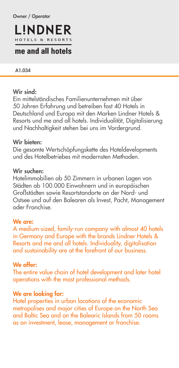

# me and all hotels

#### A1.034

#### Wir sind:

Ein mittelständisches Familienunternehmen mit über 50 Jahren Erfahrung und betreiben fast 40 Hotels in Deutschland und Europa mit den Marken Lindner Hotels & Resorts und me and all hotels. Individualität, Digitalisierung und Nachhaltigkeit stehen bei uns im Vordergrund.

#### Wir bieten:

Die gesamte Wertschöpfungskette des Hoteldevelopments und des Hotelbetriebes mit modernsten Methoden.

#### Wir suchen:

Hotelimmobilien ab 50 Zimmern in urbanen Lagen von Städten ab 100.000 Einwohnern und in europäischen Großstädten sowie Resortstandorte an der Nord- und Ostsee und auf den Balearen als Invest, Pacht, Management oder Franchise.

# We are:

A medium-sized, family-run company with almost 40 hotels in Germany and Europe with the brands Lindner Hotels & Resorts and me and all hotels. Individuality, digitalisation and sustainability are at the forefront of our business.

# We offer:

The entire value chain of hotel development and later hotel operations with the most professional methods.

# We are looking for:

Hotel properties in urban locations of the economic metropolises and major cities of Europe on the North Sea and Baltic Sea and on the Balearic Islands from 50 rooms as an investment, lease, management or franchise.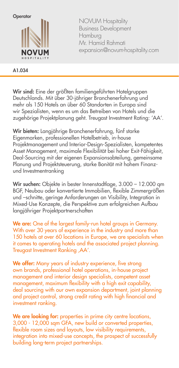

NOVUM Hospitality Business Development Hamburg Mr. Hamid Rahmati expansion@novum-hospitality.com

A1.034

Wir sind: Eine der größten familiengeführten Hotelgruppen Deutschlands. Mit über 30-jähriger Branchenerfahrung und mehr als 150 Hotels an über 60 Standorten in Europa sind wir Spezialisten, wenn es um das Betreiben von Hotels und die zugehörige Projektplanung geht. Treugast Investment Rating: 'AA'.

Wir bieten: Langjährige Branchenerfahrung, fünf starke Eigenmarken, professionellen Hotelbetrieb, in-house Projektmanagement und Interior-Design-Spezialisten, kompetentes Asset Management, maximale Flexibilität bei hoher Exit-Fähigkeit, Deal-Sourcing mit der eigenen Expansionsabteilung, gemeinsame Planung und Projektsteuerung, starke Bonität mit hohem Finanzund Investmentranking

Wir suchen: Objekte in bester Innenstadtlage, 3.000 – 12.000 qm BGF, Neubau oder konvertierte Immobilien, flexible Zimmergrößen und –schnitte, geringe Anforderungen an Visibility, Integration in Mixed-Use Konzepte, die Perspektive zum erfolgreichen Aufbau langjähriger Projektpartnerschaften

We are: One of the largest family-run hotel groups in Germany. With over 30 years of experience in the industry and more than 150 hotels at over 60 locations in Europe, we are specialists when it comes to operating hotels and the associated project planning. Treugast Investment Ranking , AA'.

We offer: Many years of industry experience, five strong own brands, professional hotel operations, in-house project management and interior design specialists, competent asset management, maximum flexibility with a high exit capability, deal sourcing with our own expansion department, joint planning and project control, strong credit rating with high financial and investment ranking.

We are looking for: properties in prime city centre locations, 3,000 - 12,000 sqm GFA, new build or converted properties, flexible room sizes and layouts, low visibility requirements, integration into mixed-use concepts, the prospect of successfully building long-term project partnerships.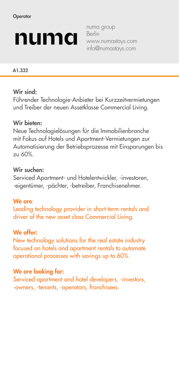# numa

numa group Berlin www.numastays.com info@numastays.com

A1.332

# Wir sind:

Führender Technologie-Anbieter bei Kurzzeitvermietungen und Treiber der neuen Assetklasse Commercial Living.

# Wir bieten:

Neue Technologielösungen für die Immobilienbranche mit Fokus auf Hotels und Apartment-Vermietungen zur Automatisierung der Betriebsprozesse mit Einsparungen bis zu 60%.

#### Wir suchen:

Serviced Apartment- und Hotelentwickler, -investoren, -eigentümer, -pächter, -betreiber, Franchisenehmer.

# We are:

Leading technology provider in short-term rentals and driver of the new asset class Commercial Living.

# We offer:

New technology solutions for the real estate industry focused on hotels and apartment rentals to automate operational processes with savings up to 60%.

# We are looking for:

Serviced apartment and hotel developers, -investors, -owners, -tenants, -operators, franchisees.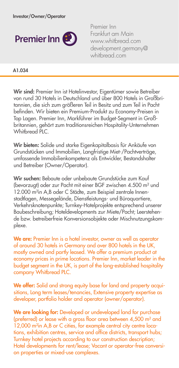

Premier Inn Frankfurt am Main www.whitbread.com development.germany@ whitbread.com

#### A1.034

Wir sind: Premier Inn ist Hotelinvestor, Eigentümer sowie Betreiber von rund 30 Hotels in Deutschland und über 800 Hotels in Großbritannien, die sich zum größeren Teil in Besitz und zum Teil in Pacht befinden. Wir bieten ein Premium-Produkt zu Economy-Preisen in Top Lagen. Premier Inn, Markführer im Budget-Segment in Großbritannien, gehört zum traditionsreichen Hospitality-Unternehmen Whitbread PLC.

Wir bieten: Solide und starke Eigenkapitalbasis für Ankäufe von Grundstücken und Immobilien, Langfristige Miet-/Pachtverträge, umfassende Immobilienkompetenz als Entwickler, Bestandshalter und Betreiber (Owner/Operator).

Wir suchen: Bebaute oder unbebaute Grundstücke zum Kauf (bevorzugt) oder zur Pacht mit einer BGF zwischen 4.500 m² und 12.000 m²in A,B oder C Städte, zum Beispiel zentrale Innenstadtlagen, Messegelände, Dienstleistungs- und Büroquartiere, Verkehrsknotenpunkte; Turnkey-Hotelprojekte entsprechend unserer Baubeschreibung; Hoteldevelopments zur Miete/Pacht; Leerstehende bzw. betreiberfreie Konversionsobjekte oder Mischnutzungskomplexe.

We are: Premier Inn is a hotel investor, owner as well as operator of around 30 hotels in Germany and over 800 hotels in the UK, mostly owned and partly leased. We offer a premium product at economy prices in prime locations. Premier Inn, market leader in the budget segment in the UK, is part of the long-established hospitality company Whitbread PLC.

We offer: Solid and strong equity base for land and property acquisitions, Long term leases/tenancies, Extensive property expertise as developer, portfolio holder and operator (owner/operator).

We are looking for: Developed or undeveloped land for purchase (preferred) or lease with a gross floor area between 4,500 m² and 12,000 m²in A,B or C cities, for example central city centre locations, exhibition centres, service and office districts, transport hubs; Turnkey hotel projects according to our construction description; Hotel developments for rent/lease; Vacant or operator-free conversion properties or mixed-use complexes.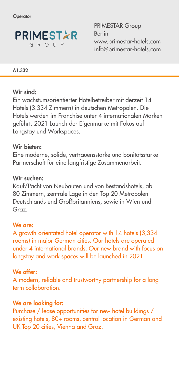

PRIMESTAR Group Berlin www.primestar-hotels.com info@primestar-hotels.com

#### A1.332

#### Wir sind:

Ein wachstumsorientierter Hotelbetreiber mit derzeit 14 Hotels (3.334 Zimmern) in deutschen Metropolen. Die Hotels werden im Franchise unter 4 internationalen Marken geführt. 2021 Launch der Eigenmarke mit Fokus auf Longstay und Workspaces.

#### Wir bieten:

Eine moderne, solide, vertrauensstarke und bonitätsstarke Partnerschaft für eine langfristige Zusammenarbeit.

#### Wir suchen:

Kauf/Pacht von Neubauten und von Bestandshotels, ab 80 Zimmern, zentrale Lage in den Top 20 Metropolen Deutschlands und Großbritanniens, sowie in Wien und Graz.

#### We are:

A growth-orientated hotel operator with 14 hotels (3,334 rooms) in major German cities. Our hotels are operated under 4 international brands. Our new brand with focus on longstay and work spaces will be launched in 2021.

#### We offer:

A modern, reliable and trustworthy partnership for a longterm collaboration.

#### We are looking for:

Purchase / lease opportunities for new hotel buildings / existing hotels, 80+ rooms, central location in German and UK Top 20 cities, Vienna and Graz.